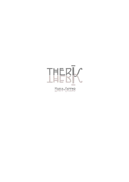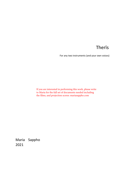# Therīs

For any two instruments (and your own voices)

If you are interested in performing this work, please write to Maria for the full set of documents needed including the films, and projection scores: mariasappho.com

Maria Sappho 2021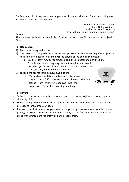Therīs is a work of fragment poetry, gestures, lights and shadows. For any duo using any instrumentation and their own voice.

> Written for flute, Isabel Gleicher harp, Nukio Wadden, and projections, Ross Karre (International Contemporary Ensemble) 2021

# **Setup:**

Therīs comes with instructions (this), 2 video scores, one film score, and 4 projection films.

# **For stage setup:**

- 1) Two chairs facing back to back
- 2) One projector. The projections can be set up two ways, but either way the projections need to fall on a neutral wall and **over** the players entire bodies (see image).
	- a. Use the *Therīs\_full.mp4* to simply plug in the projector and play the film.
	- b. To do live projection mapping use the three films enclosed in the *film projection layers* folder. You will need the *score\_for\_projections.pdf* for this version.
- 3) To read the scores you also have two options:
	- a. Music stands with tablets (better for live show)
	- b. Large screens 'off stage' (this helps eliminate the music stands from throwing shadows into the projections. Better for recording, see image)



# **For Players:**

- Sit back to back with your partner, if you are part 1 sit on stage right, and if you are part 2 sit on stage left.
- Wear clothing which is white or as light as possible, to allow the best effect of the projections throw onto your bodies.
- Prepare your instrument so you have a range of options to choose from throughout playing. If some preparations de-tune pitches, that is fine. See melodic content for areas of the instrument you might begin to prepare from.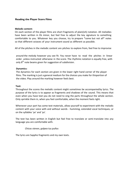# **Reading the Player Score Films**

#### **Melodic content:**

On each section of the player films are short fragments of plain(ish) notation. All melodies have been written in Eb minor, but feel free to adjust the key signature to something comfortable to you. Whatever key you choose, try to prepare \*some but not all\* notes so that different octaves of your instrument sound as different as possible.

All of the pitches in the melodic content are pitches to explore from, feel free to improvise

around the melody however you see fit. You never have to read the pitches in linear order unless instructed otherwise in the score. The rhythmic notation is equally free, with only  $8<sup>th</sup>$  note beams given for suggestion of subdivision.

#### **Dynamics:**

The dynamics for each section are given in the lower right hand corner of the player films. The marking is just a general medium for the choices you make for this portion of the video. Play around the marking however feels best.

#### **Text:**

Throughout the scores the melodic content might sometimes be accompanied by lyrics. The purpose of the lyrics is to appear as fragments and shadows of the sound. This means that even when you have text you do not need to sing the parts throughout the whole section. Only sprinkle them in, when you feel comfortable, when the moment feels right.

Whenever your part has some text materials, allow yourself to experiment with the melodic content with your voice with and without words - humming, extended vocal techniques, or on the syllables 'ye' and 'ya'.

The text has been written in English but feel free to translate or semi-translate into any language you are comfortable with.

## *Chicas vienen, golpea tus puños*

The lyrics are Sappho fragments and my own texts.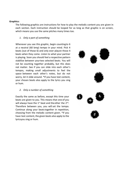## **Graphics:**

The following graphics are instructions for how to play the melodic content you are given in each section. Each instruction should be looped for as long as that graphic is on screen, which means you use the same pitches many times too.

## *1. Only a part of something*

Whenever you see this graphic, begin countingto 6 at a neutral (60 bmp) tempo in your mind. Pick 4 beats (out of those 6) and only ever playon those 4 beats when they come. Listen to what your partner is playing. Soon you should feel a respective pattern stabilize between yourtwo selected beats. You will not be counting together probably, but this does not matter. See if you can slide into each other's tempos, making small adjustments to feel the space between each other's notes, but do not worry, let it slide around. \*If you have text content, your chosen beats also apply to the lyrics you sing or hum.



*2. Only a number of something*

Exactly the same as before, except this time your beats are given to you. This means that one of you will always have the  $1^{st}$  beat and the other the  $2^{nd}$ . Therefore between you, you will set the tempo. Continue along your beatstogether in repetition, choosing from the melodic content given. \*If you have text content, the given beats also apply to the lyricsyou sing or hum.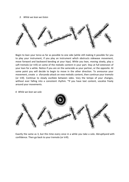*3. While we lean we listen*



Begin to lean your torso as far as possible to one side (while still making it possible for you to play your instrument, if you play an instrument which obstructs sidewase movement, move forward and backword bending at your hips). While you lean, moving slowly, play a soft tremolo (or trill) on some of the melodic content in your part. Stay at full extension of your lean for a while. Notice if you are on the sameside as your partner, or the opposite. At some point you will decide to begin to move in the other direction. To announce your movement, create a sforzando attack on new melodic content, then continue your tremolo (or trill). Continue to slowly oscillate between sides. Vary the tempo of your changes, without ever falling into a consistent rhythm. \*If you have text content, vocalize freely around your movements.

*4. While we lean we solo*



Exactly the same as 3, but this time every once in a while you take a solo. Abruptlyand with confidence. Then go back to your tremolo (or trill).